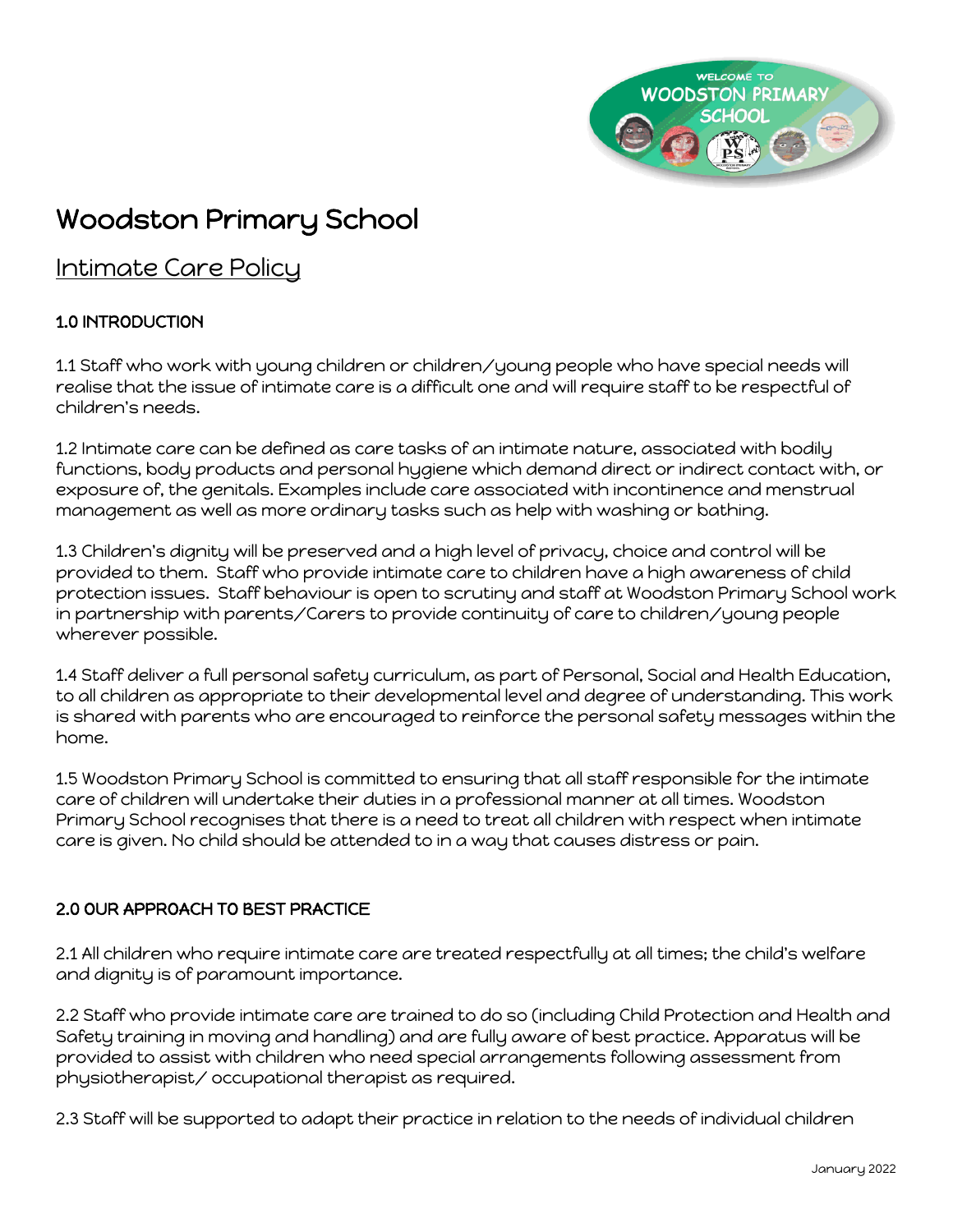

# Woodston Primary School

## Intimate Care Policy

## 1.0 INTRODUCTION

1.1 Staff who work with young children or children/young people who have special needs will realise that the issue of intimate care is a difficult one and will require staff to be respectful of children's needs.

1.2 Intimate care can be defined as care tasks of an intimate nature, associated with bodily functions, body products and personal hygiene which demand direct or indirect contact with, or exposure of, the genitals. Examples include care associated with incontinence and menstrual management as well as more ordinary tasks such as help with washing or bathing.

1.3 Children's dignity will be preserved and a high level of privacy, choice and control will be provided to them. Staff who provide intimate care to children have a high awareness of child protection issues. Staff behaviour is open to scrutiny and staff at Woodston Primary School work in partnership with parents/Carers to provide continuity of care to children/young people wherever possible.

1.4 Staff deliver a full personal safety curriculum, as part of Personal, Social and Health Education, to all children as appropriate to their developmental level and degree of understanding. This work is shared with parents who are encouraged to reinforce the personal safety messages within the home.

1.5 Woodston Primary School is committed to ensuring that all staff responsible for the intimate care of children will undertake their duties in a professional manner at all times. Woodston Primary School recognises that there is a need to treat all children with respect when intimate care is given. No child should be attended to in a way that causes distress or pain.

### 2.0 OUR APPROACH TO BEST PRACTICE

2.1 All children who require intimate care are treated respectfully at all times; the child's welfare and dignity is of paramount importance.

2.2 Staff who provide intimate care are trained to do so (including Child Protection and Health and Safety training in moving and handling) and are fully aware of best practice. Apparatus will be provided to assist with children who need special arrangements following assessment from physiotherapist/ occupational therapist as required.

2.3 Staff will be supported to adapt their practice in relation to the needs of individual children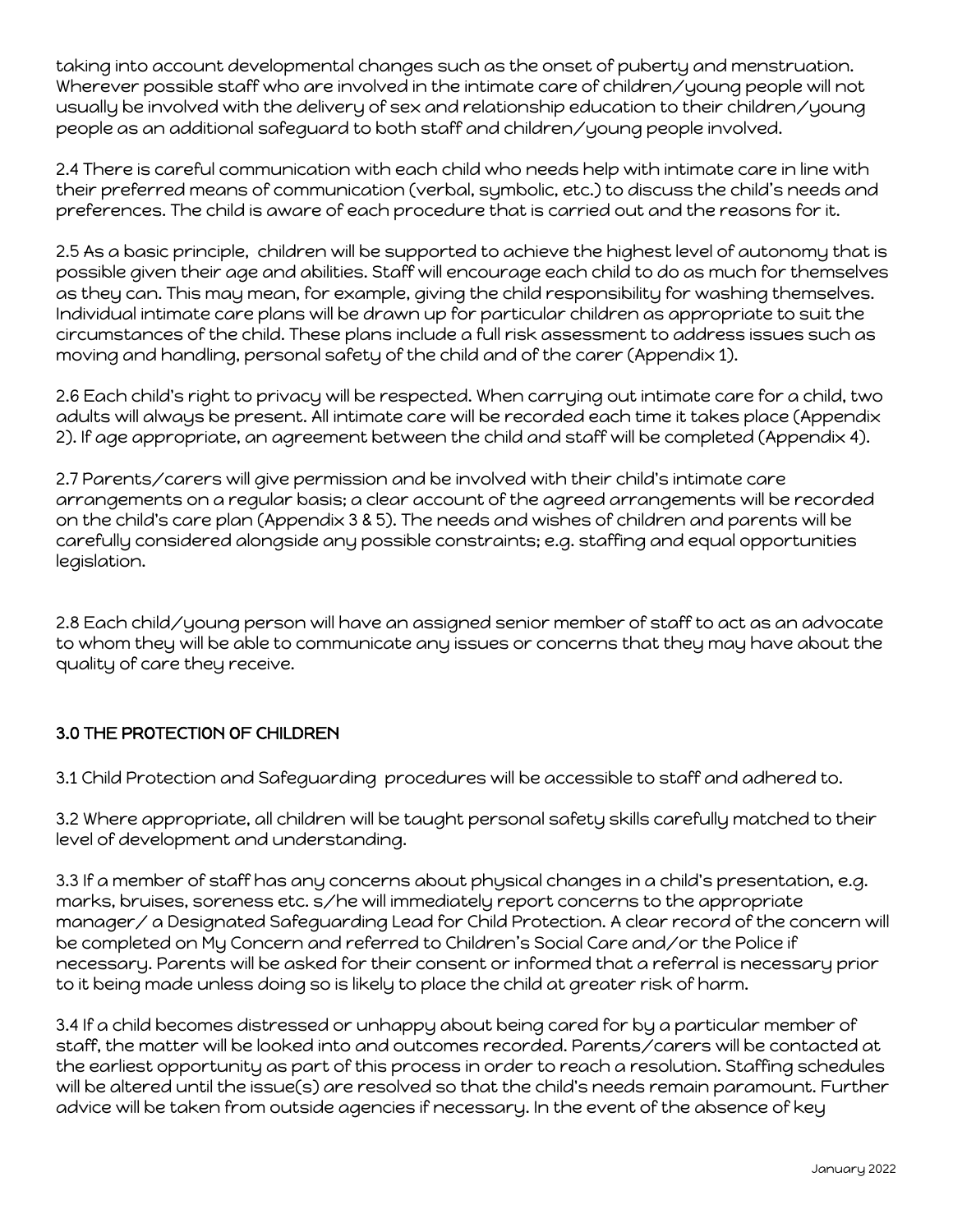taking into account developmental changes such as the onset of puberty and menstruation. Wherever possible staff who are involved in the intimate care of children/young people will not usually be involved with the delivery of sex and relationship education to their children/young people as an additional safeguard to both staff and children/young people involved.

2.4 There is careful communication with each child who needs help with intimate care in line with their preferred means of communication (verbal, symbolic, etc.) to discuss the child's needs and preferences. The child is aware of each procedure that is carried out and the reasons for it.

2.5 As a basic principle, children will be supported to achieve the highest level of autonomy that is possible given their age and abilities. Staff will encourage each child to do as much for themselves as they can. This may mean, for example, giving the child responsibility for washing themselves. Individual intimate care plans will be drawn up for particular children as appropriate to suit the circumstances of the child. These plans include a full risk assessment to address issues such as moving and handling, personal safety of the child and of the carer (Appendix 1).

2.6 Each child's right to privacy will be respected. When carrying out intimate care for a child, two adults will always be present. All intimate care will be recorded each time it takes place (Appendix 2). If age appropriate, an agreement between the child and staff will be completed (Appendix 4).

2.7 Parents/carers will give permission and be involved with their child's intimate care arrangements on a regular basis; a clear account of the agreed arrangements will be recorded on the child's care plan (Appendix 3 & 5). The needs and wishes of children and parents will be carefully considered alongside any possible constraints; e.g. staffing and equal opportunities legislation.

2.8 Each child/young person will have an assigned senior member of staff to act as an advocate to whom they will be able to communicate any issues or concerns that they may have about the quality of care they receive.

### 3.0 THE PROTECTION OF CHILDREN

3.1 Child Protection and Safeguarding procedures will be accessible to staff and adhered to.

3.2 Where appropriate, all children will be taught personal safety skills carefully matched to their level of development and understanding.

3.3 If a member of staff has any concerns about physical changes in a child's presentation, e.g. marks, bruises, soreness etc. s/he will immediately report concerns to the appropriate manager/ a Designated Safeguarding Lead for Child Protection. A clear record of the concern will be completed on My Concern and referred to Children's Social Care and/or the Police if necessary. Parents will be asked for their consent or informed that a referral is necessary prior to it being made unless doing so is likely to place the child at greater risk of harm.

3.4 If a child becomes distressed or unhappy about being cared for by a particular member of staff, the matter will be looked into and outcomes recorded. Parents/carers will be contacted at the earliest opportunity as part of this process in order to reach a resolution. Staffing schedules will be altered until the issue(s) are resolved so that the child's needs remain paramount. Further advice will be taken from outside agencies if necessary. In the event of the absence of key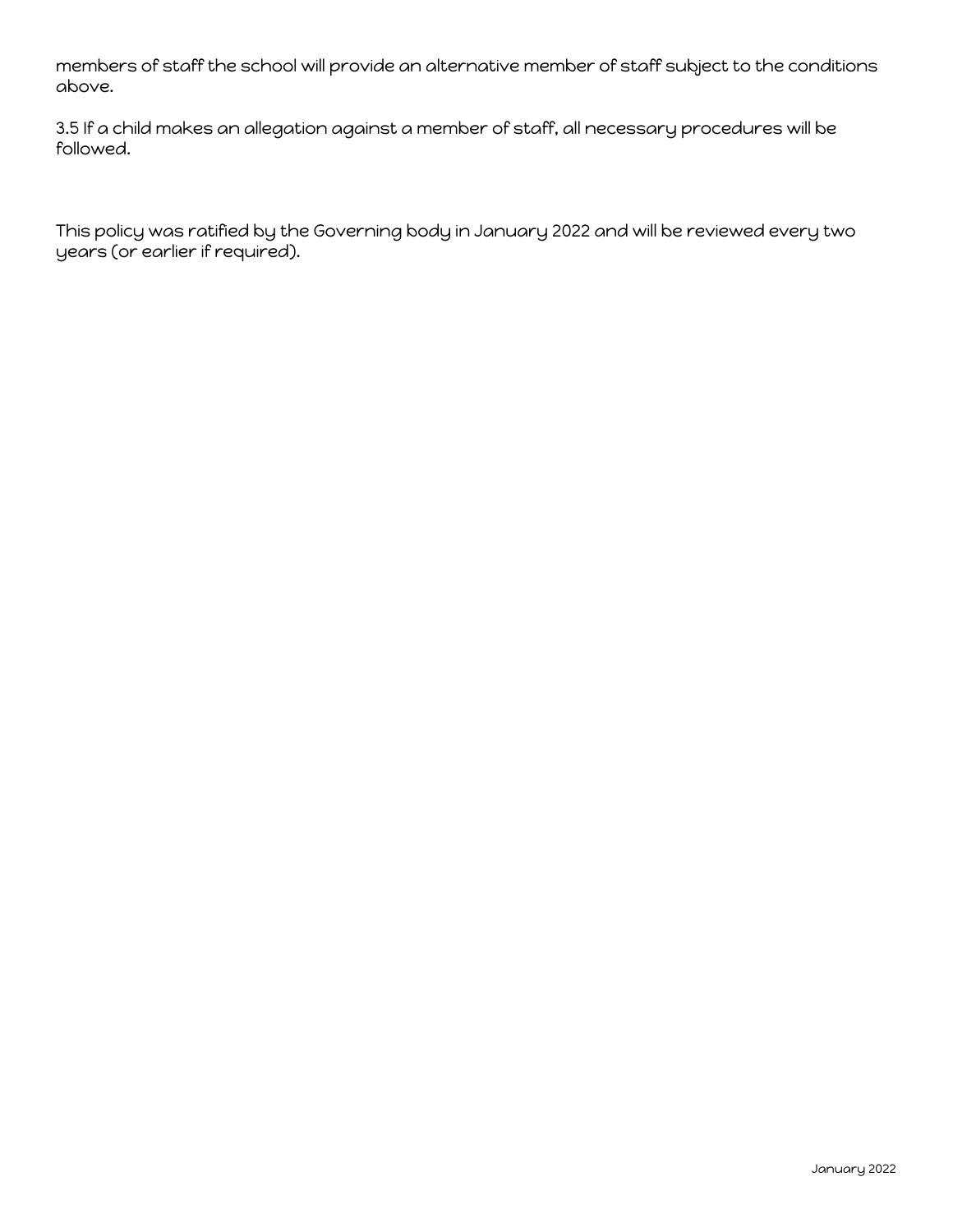members of staff the school will provide an alternative member of staff subject to the conditions above.

3.5 If a child makes an allegation against a member of staff, all necessary procedures will be followed.

This policy was ratified by the Governing body in January 2022 and will be reviewed every two years (or earlier if required).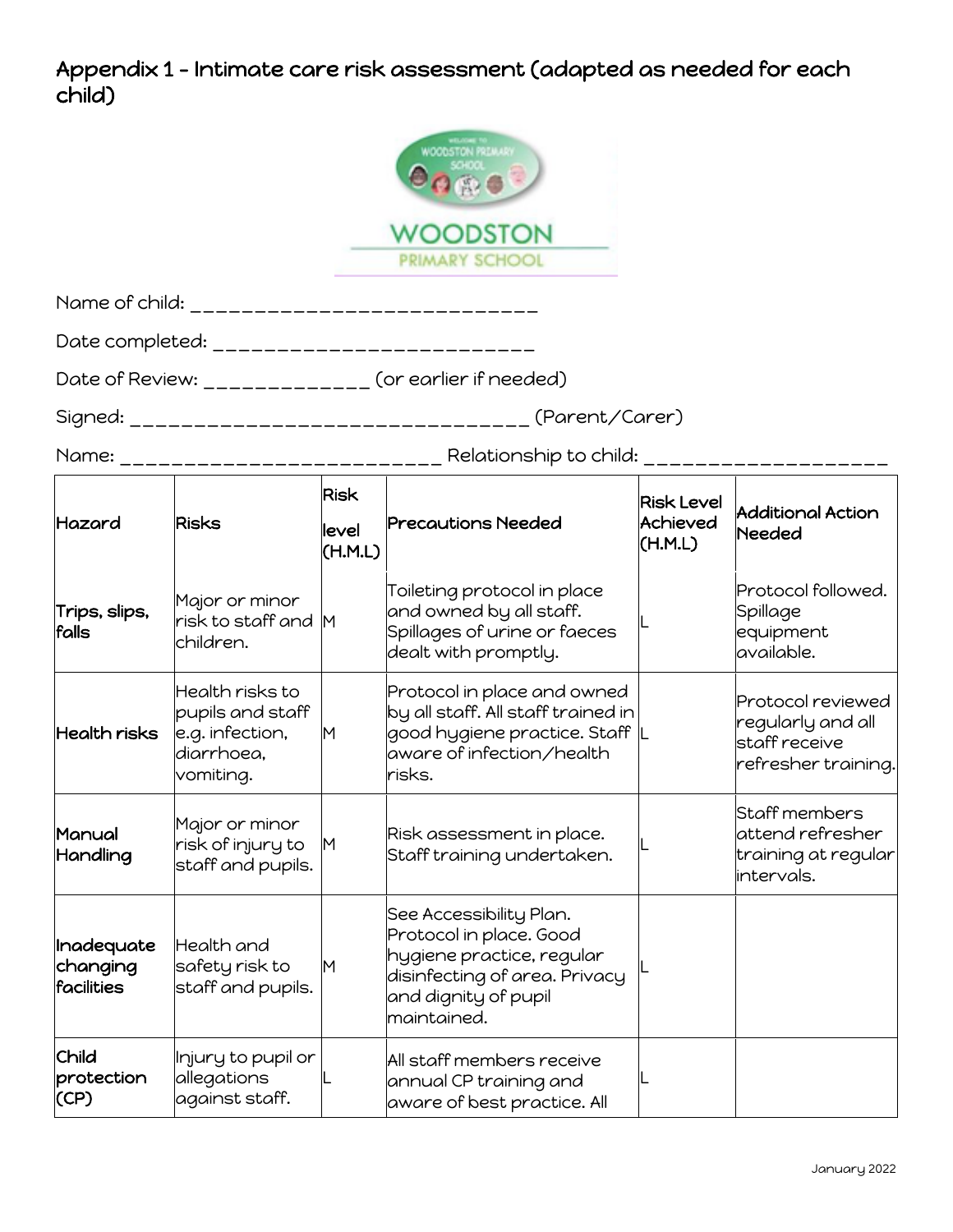## Appendix 1 – Intimate care risk assessment (adapted as needed for each child)

|                                      |                                                                                   |                                 | <b>NOODSTON PREMIEW</b><br>VOODSTON<br>PRIMARY SCHOOL                                                                                                   |                                          |                                                                                |
|--------------------------------------|-----------------------------------------------------------------------------------|---------------------------------|---------------------------------------------------------------------------------------------------------------------------------------------------------|------------------------------------------|--------------------------------------------------------------------------------|
|                                      |                                                                                   |                                 | Name of child: ______________________________                                                                                                           |                                          |                                                                                |
|                                      |                                                                                   |                                 | Date completed: ___________________________                                                                                                             |                                          |                                                                                |
|                                      |                                                                                   |                                 | Date of Review: _____________ (or earlier if needed)                                                                                                    |                                          |                                                                                |
|                                      |                                                                                   |                                 |                                                                                                                                                         |                                          |                                                                                |
|                                      |                                                                                   |                                 | Name: ____________________________ Relationship to child: __________________                                                                            |                                          |                                                                                |
| Hazard                               | <b>Risks</b>                                                                      | <b>Risk</b><br>level<br>(H.M.L) | <b>Precautions Needed</b>                                                                                                                               | <b>Risk Level</b><br>Achieved<br>(H.M.L) | <b>Additional Action</b><br><b>Needed</b>                                      |
| Trips, slips,<br>falls               | Major or minor<br>risk to staff and M<br>children.                                |                                 | Toileting protocol in place<br>and owned by all staff.<br>Spillages of urine or faeces<br>dealt with promptly.                                          |                                          | Protocol followed.<br>Spillage<br>equipment<br>available.                      |
| Health risks                         | Health risks to<br>pupils and staff<br>e.g. infection,<br>diarrhoea,<br>vomiting. | M                               | Protocol in place and owned<br>by all staff. All staff trained in<br>good hygiene practice. Staff  L<br>aware of infection/health<br>risks.             |                                          | Protocol reviewed<br>regularly and all<br>staff receive<br>refresher training. |
| Manual<br>Handling                   | Major or minor<br>risk of injury to<br>staff and pupils.                          | M                               | Risk assessment in place.<br>Staff training undertaken.                                                                                                 |                                          | Staff members<br>attend refresher<br>training at regular<br>intervals.         |
| Inadequate<br>changing<br>facilities | Health and<br>safety risk to<br>staff and pupils.                                 | M                               | See Accessibility Plan.<br>Protocol in place. Good<br>hygiene practice, regular<br>disinfecting of area. Privacy<br>and dignity of pupil<br>maintained. |                                          |                                                                                |
| Child<br>protection<br>(CP)          | Injury to pupil or<br>allegations<br>against staff.                               |                                 | All staff members receive<br>annual CP training and<br>aware of best practice. All                                                                      |                                          |                                                                                |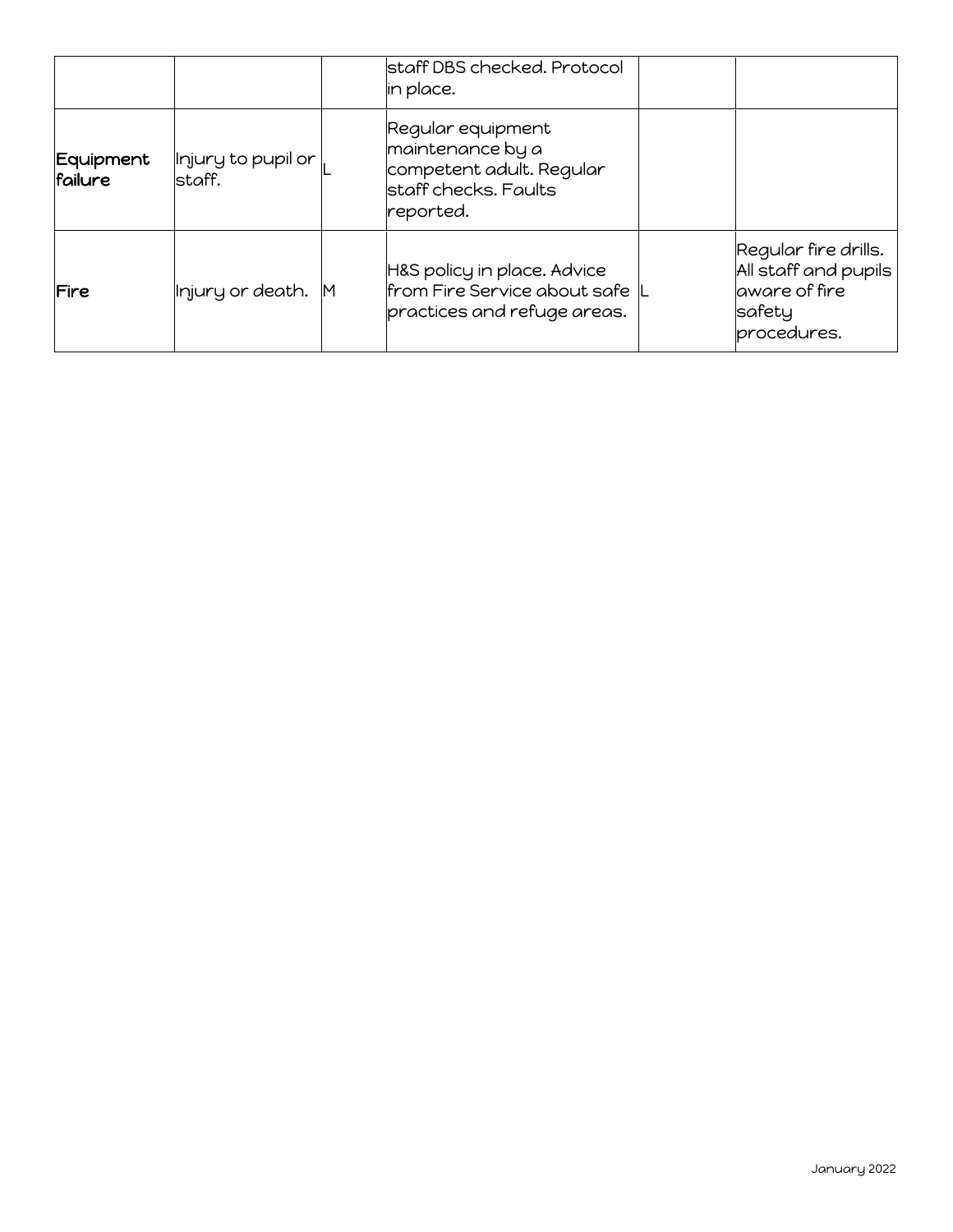|                      |                               |    | staff DBS checked. Protocol<br>in place.                                                               |                                                                                         |
|----------------------|-------------------------------|----|--------------------------------------------------------------------------------------------------------|-----------------------------------------------------------------------------------------|
| Equipment<br>failure | Injury to pupil or<br>lstaff. |    | Regular equipment<br>maintenance by a<br>competent adult. Regular<br>staff checks. Faults<br>reported. |                                                                                         |
| Fire                 | Injury or death.              | ΙM | H&S policy in place. Advice<br>from Fire Service about safe L<br>practices and refuge areas.           | Regular fire drills.<br>All staff and pupils<br>laware of fire<br>safety<br>procedures. |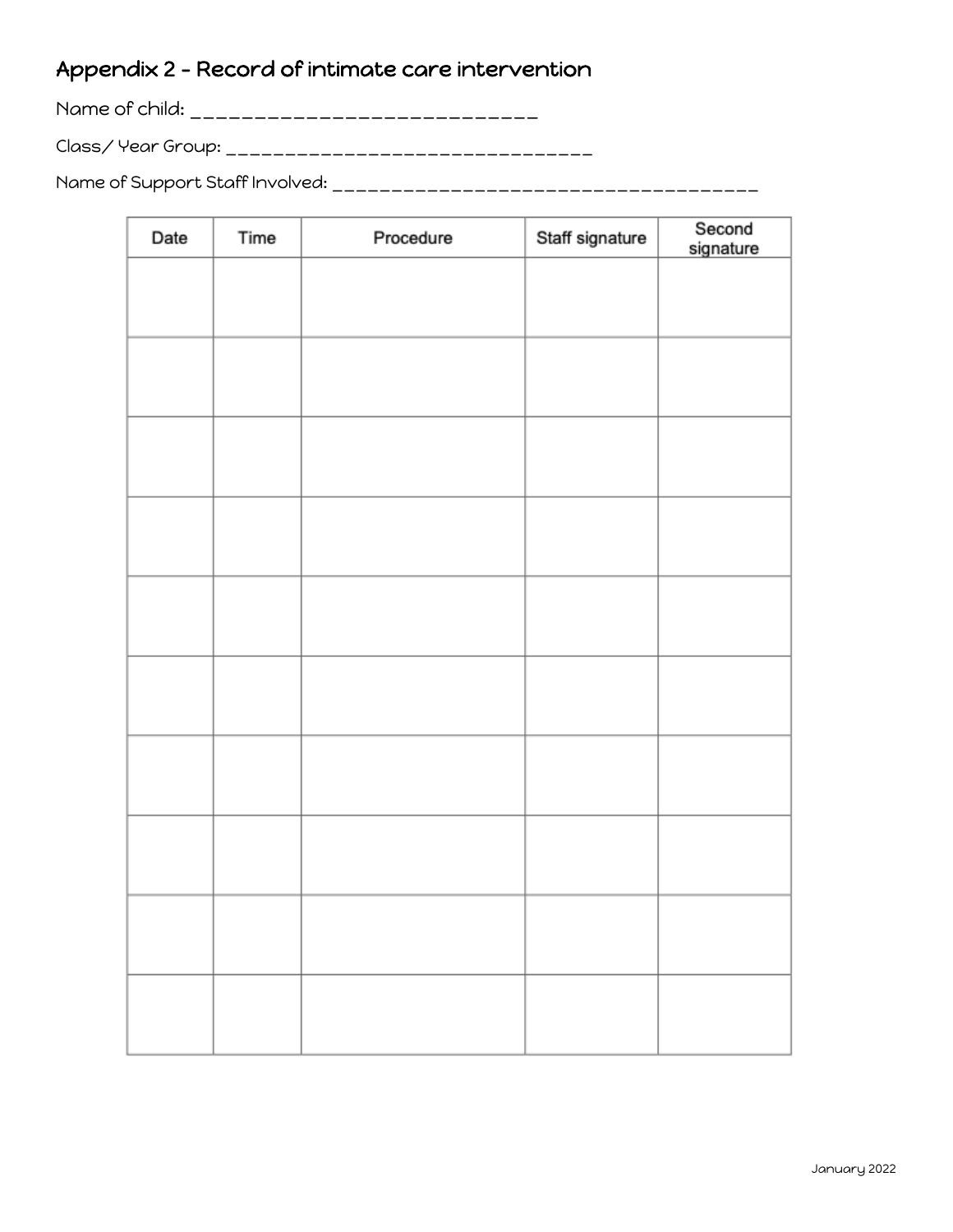# Appendix 2 - Record of intimate care intervention

Name of child: \_\_\_\_\_\_\_\_\_\_\_\_\_\_\_\_\_\_\_\_\_\_\_\_\_\_\_

Class/ Year Group: \_\_\_\_\_\_\_\_\_\_\_\_\_\_\_\_\_\_\_\_\_\_\_\_\_\_\_\_\_\_\_

Name of Support Staff Involved: \_\_\_\_\_\_\_\_\_\_\_\_\_\_\_\_\_\_\_\_\_\_\_\_\_\_\_\_\_\_\_\_\_\_\_\_

| Date | Time | Procedure | Staff signature | Second<br>signature |
|------|------|-----------|-----------------|---------------------|
|      |      |           |                 |                     |
|      |      |           |                 |                     |
|      |      |           |                 |                     |
|      |      |           |                 |                     |
|      |      |           |                 |                     |
|      |      |           |                 |                     |
|      |      |           |                 |                     |
|      |      |           |                 |                     |
|      |      |           |                 |                     |
|      |      |           |                 |                     |
|      |      |           |                 |                     |
|      |      |           |                 |                     |
|      |      |           |                 |                     |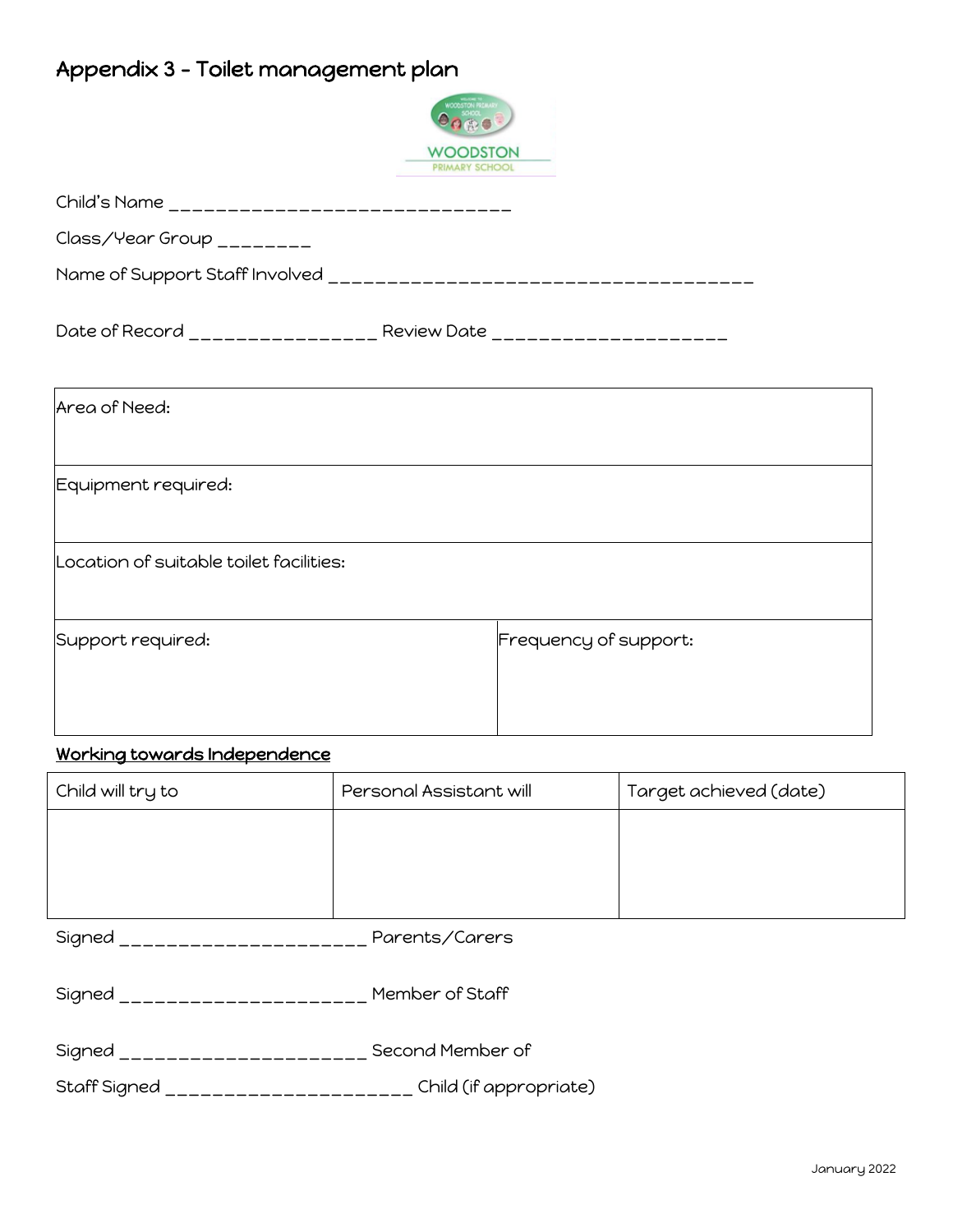# Appendix 3 - Toilet management plan



| Child's Name _______________________________ |                                                                    |
|----------------------------------------------|--------------------------------------------------------------------|
| Class/Year Group ________                    |                                                                    |
|                                              |                                                                    |
|                                              | Date of Record __________________ Review Date ____________________ |
| Area of Need:                                |                                                                    |
| Equipment required:                          |                                                                    |
| Location of suitable toilet facilities:      |                                                                    |
| Support required:                            | Frequency of support:                                              |

## Working towards Independence

| Child will try to                             | Personal Assistant will | Target achieved (date) |  |
|-----------------------------------------------|-------------------------|------------------------|--|
|                                               |                         |                        |  |
|                                               |                         |                        |  |
|                                               |                         |                        |  |
| Signed ___________________                    | Parents/Carers          |                        |  |
| Signed ______________________ Member of Staff |                         |                        |  |
| Signed ____________________                   | Second Member of        |                        |  |
| Staff Signed<br>--------------------          | Child (if appropriate)  |                        |  |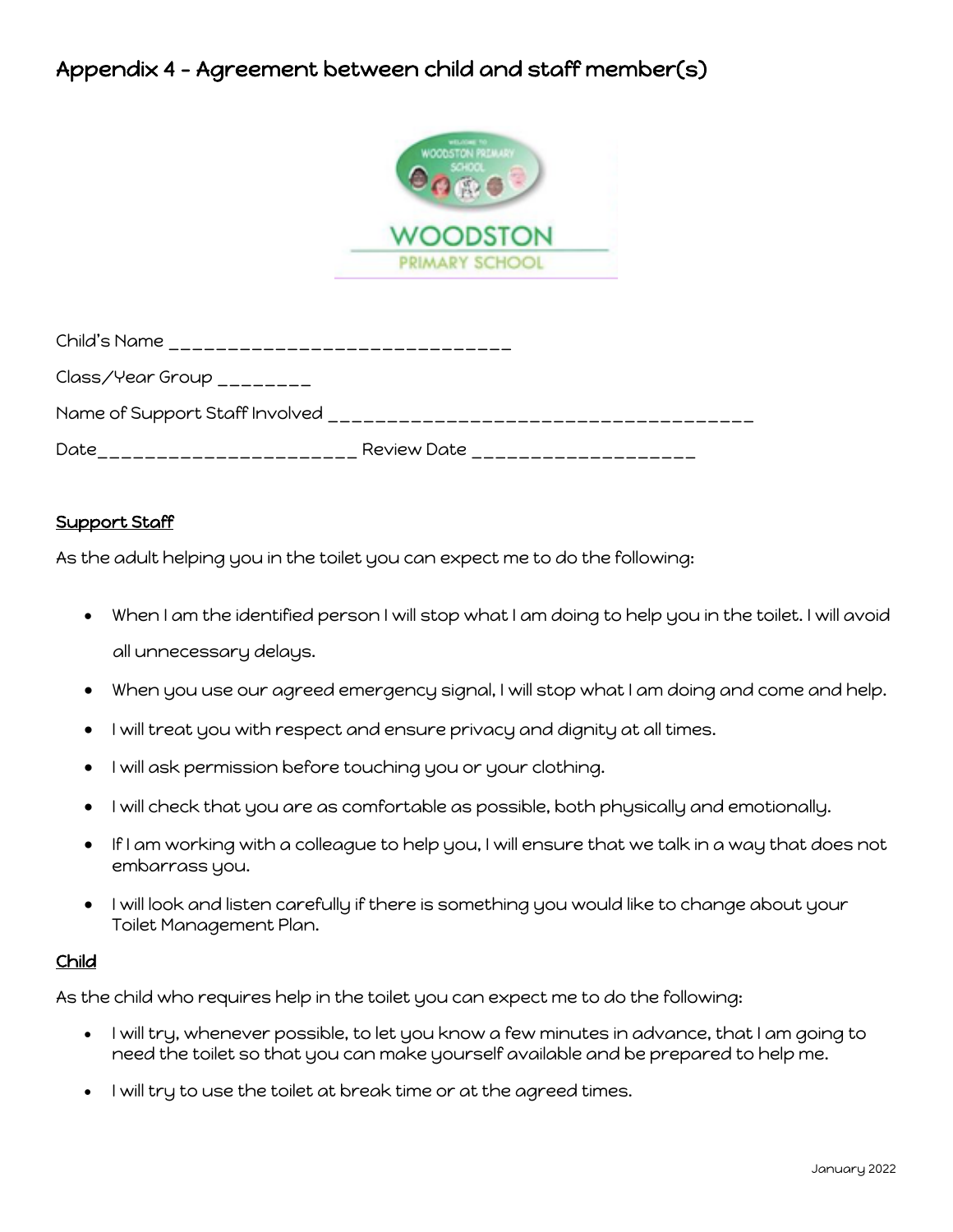## Appendix 4 - Agreement between child and staff member(s)



| Child's Name                                    |             |
|-------------------------------------------------|-------------|
| $Class/Year$ Group $\_\_\_\_\_\_\_\_\_\_\_\_\_$ |             |
| Name of Support Staff Involved                  |             |
| Date                                            | Review Date |

#### Support Staff

As the adult helping you in the toilet you can expect me to do the following:

- When I am the identified person I will stop what I am doing to help you in the toilet. I will avoid all unnecessary delays.
- When you use our agreed emergency signal, I will stop what I am doing and come and help.
- I will treat you with respect and ensure privacy and dignity at all times.
- I will ask permission before touching you or your clothing.
- I will check that you are as comfortable as possible, both physically and emotionally.
- If I am working with a colleague to help you, I will ensure that we talk in a way that does not embarrass you.
- I will look and listen carefully if there is something you would like to change about your Toilet Management Plan.

#### Child

As the child who requires help in the toilet you can expect me to do the following:

- I will try, whenever possible, to let you know a few minutes in advance, that I am going to need the toilet so that you can make yourself available and be prepared to help me.
- I will try to use the toilet at break time or at the agreed times.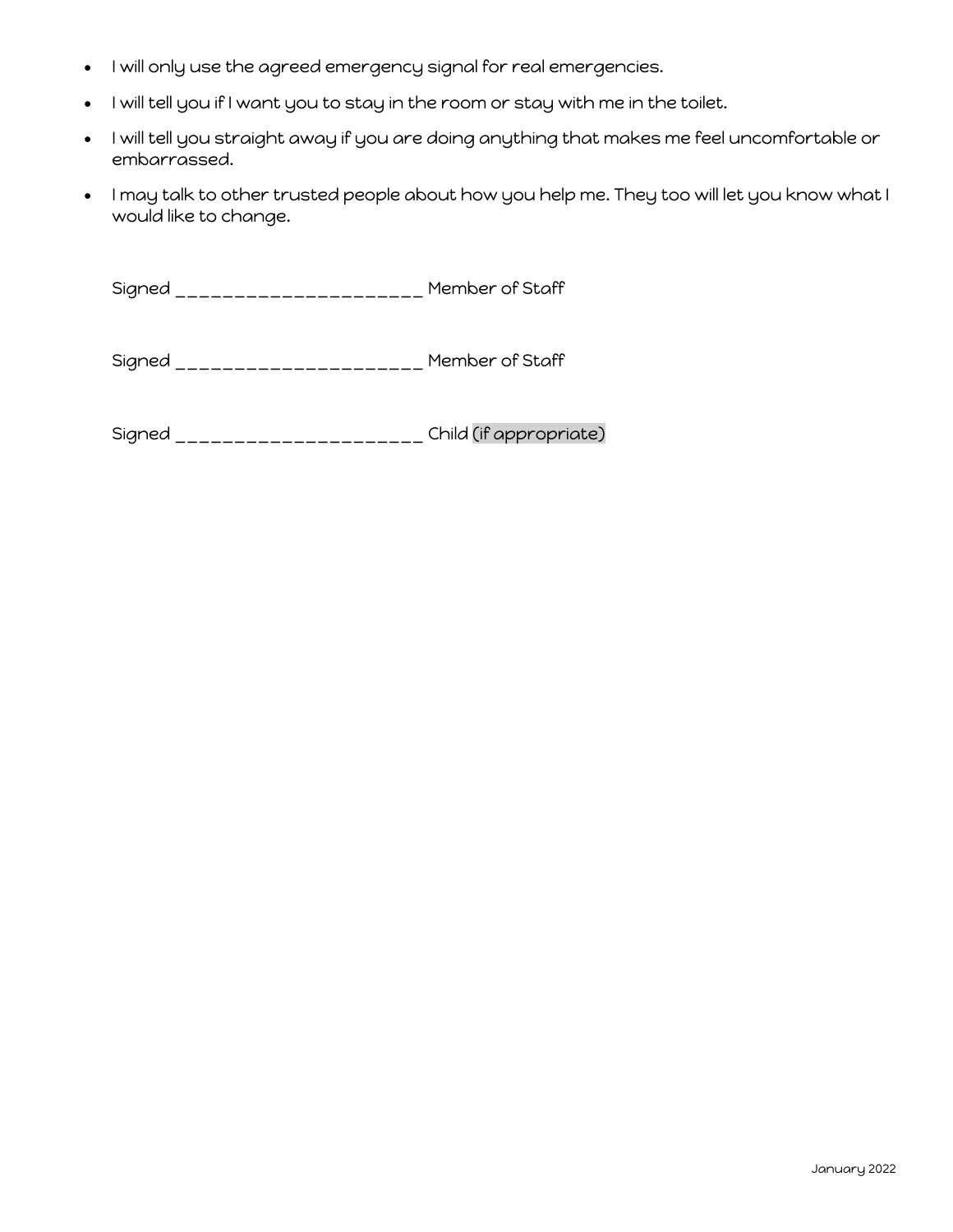- I will only use the agreed emergency signal for real emergencies.
- I will tell you if I want you to stay in the room or stay with me in the toilet.
- I will tell you straight away if you are doing anything that makes me feel uncomfortable or embarrassed.
- I may talk to other trusted people about how you help me. They too will let you know what I would like to change.

Signed \_\_\_\_\_\_\_\_\_\_\_\_\_\_\_\_\_\_\_\_\_ Member of Staff

Signed \_\_\_\_\_\_\_\_\_\_\_\_\_\_\_\_\_\_\_\_\_ Member of Staff

Signed \_\_\_\_\_\_\_\_\_\_\_\_\_\_\_\_\_\_\_\_\_ Child (if appropriate)